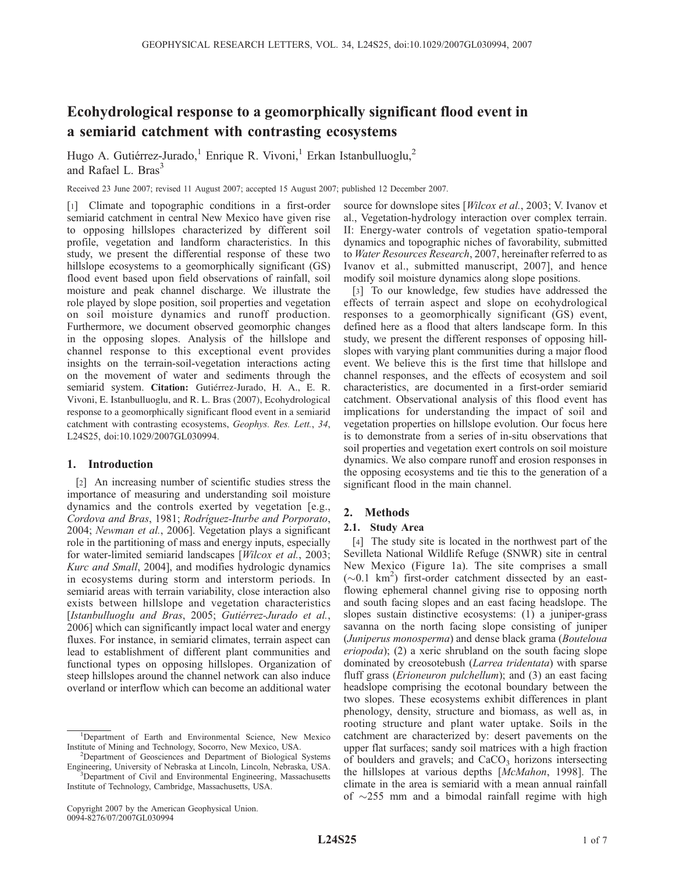# Ecohydrological response to a geomorphically significant flood event in a semiarid catchment with contrasting ecosystems

Hugo A. Gutiérrez-Jurado,<sup>1</sup> Enrique R. Vivoni,<sup>1</sup> Erkan Istanbulluoglu,<sup>2</sup> and Rafael L. Bras<sup>3</sup>

Received 23 June 2007; revised 11 August 2007; accepted 15 August 2007; published 12 December 2007.

[1] Climate and topographic conditions in a first-order semiarid catchment in central New Mexico have given rise to opposing hillslopes characterized by different soil profile, vegetation and landform characteristics. In this study, we present the differential response of these two hillslope ecosystems to a geomorphically significant (GS) flood event based upon field observations of rainfall, soil moisture and peak channel discharge. We illustrate the role played by slope position, soil properties and vegetation on soil moisture dynamics and runoff production. Furthermore, we document observed geomorphic changes in the opposing slopes. Analysis of the hillslope and channel response to this exceptional event provides insights on the terrain-soil-vegetation interactions acting on the movement of water and sediments through the semiarid system. Citation: Gutiérrez-Jurado, H. A., E. R. Vivoni, E. Istanbulluoglu, and R. L. Bras (2007), Ecohydrological response to a geomorphically significant flood event in a semiarid catchment with contrasting ecosystems, Geophys. Res. Lett., 34, L24S25, doi:10.1029/2007GL030994.

## 1. Introduction

[2] An increasing number of scientific studies stress the importance of measuring and understanding soil moisture dynamics and the controls exerted by vegetation [e.g., Cordova and Bras, 1981; Rodríguez-Iturbe and Porporato, 2004; Newman et al., 2006]. Vegetation plays a significant role in the partitioning of mass and energy inputs, especially for water-limited semiarid landscapes [*Wilcox et al.*, 2003; Kurc and Small, 2004], and modifies hydrologic dynamics in ecosystems during storm and interstorm periods. In semiarid areas with terrain variability, close interaction also exists between hillslope and vegetation characteristics [Istanbulluoglu and Bras, 2005; Gutiérrez-Jurado et al., 2006] which can significantly impact local water and energy fluxes. For instance, in semiarid climates, terrain aspect can lead to establishment of different plant communities and functional types on opposing hillslopes. Organization of steep hillslopes around the channel network can also induce overland or interflow which can become an additional water

0094-8276/07/2007GL030994

source for downslope sites [*Wilcox et al.*, 2003; V. Ivanov et al., Vegetation-hydrology interaction over complex terrain. II: Energy-water controls of vegetation spatio-temporal dynamics and topographic niches of favorability, submitted to Water Resources Research, 2007, hereinafter referred to as Ivanov et al., submitted manuscript, 2007], and hence modify soil moisture dynamics along slope positions.

[3] To our knowledge, few studies have addressed the effects of terrain aspect and slope on ecohydrological responses to a geomorphically significant (GS) event, defined here as a flood that alters landscape form. In this study, we present the different responses of opposing hillslopes with varying plant communities during a major flood event. We believe this is the first time that hillslope and channel responses, and the effects of ecosystem and soil characteristics, are documented in a first-order semiarid catchment. Observational analysis of this flood event has implications for understanding the impact of soil and vegetation properties on hillslope evolution. Our focus here is to demonstrate from a series of in-situ observations that soil properties and vegetation exert controls on soil moisture dynamics. We also compare runoff and erosion responses in the opposing ecosystems and tie this to the generation of a significant flood in the main channel.

# 2. Methods

# 2.1. Study Area

[4] The study site is located in the northwest part of the Sevilleta National Wildlife Refuge (SNWR) site in central New Mexico (Figure 1a). The site comprises a small  $({\sim}0.1~{\rm km}^2)$  first-order catchment dissected by an eastflowing ephemeral channel giving rise to opposing north and south facing slopes and an east facing headslope. The slopes sustain distinctive ecosystems: (1) a juniper-grass savanna on the north facing slope consisting of juniper (Juniperus monosperma) and dense black grama (Bouteloua eriopoda); (2) a xeric shrubland on the south facing slope dominated by creosotebush (Larrea tridentata) with sparse fluff grass (*Erioneuron pulchellum*); and (3) an east facing headslope comprising the ecotonal boundary between the two slopes. These ecosystems exhibit differences in plant phenology, density, structure and biomass, as well as, in rooting structure and plant water uptake. Soils in the catchment are characterized by: desert pavements on the upper flat surfaces; sandy soil matrices with a high fraction of boulders and gravels; and  $CaCO<sub>3</sub>$  horizons intersecting the hillslopes at various depths [McMahon, 1998]. The climate in the area is semiarid with a mean annual rainfall of  $\sim$ 255 mm and a bimodal rainfall regime with high

<sup>&</sup>lt;sup>1</sup>Department of Earth and Environmental Science, New Mexico Institute of Mining and Technology, Socorro, New Mexico, USA. <sup>2</sup>

<sup>&</sup>lt;sup>2</sup>Department of Geosciences and Department of Biological Systems Engineering, University of Nebraska at Lincoln, Lincoln, Nebraska, USA. <sup>3</sup> <sup>3</sup>Department of Civil and Environmental Engineering, Massachusetts Institute of Technology, Cambridge, Massachusetts, USA.

Copyright 2007 by the American Geophysical Union.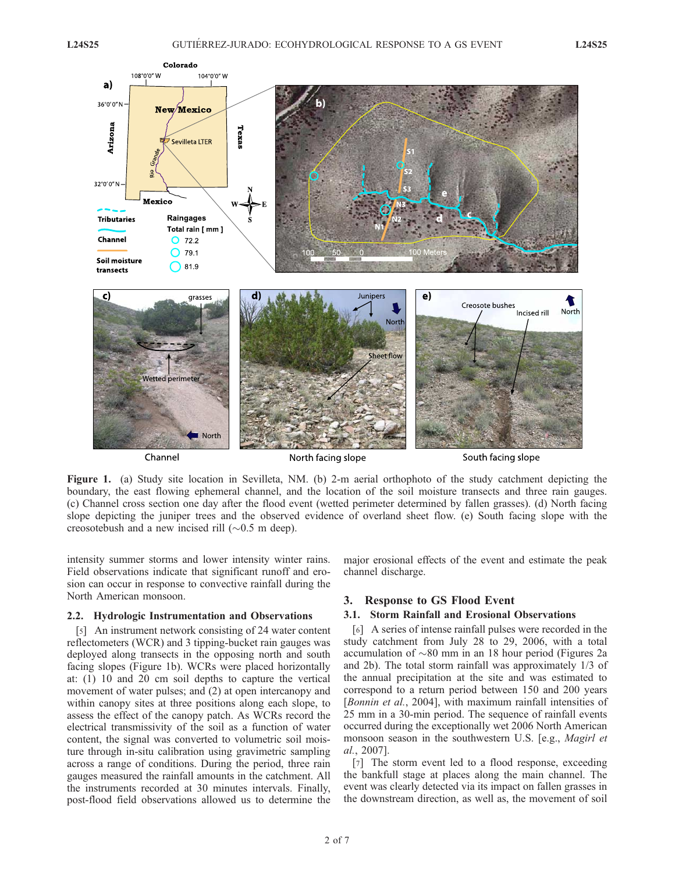

Channel

North facing slope

South facing slope

Figure 1. (a) Study site location in Sevilleta, NM. (b) 2-m aerial orthophoto of the study catchment depicting the boundary, the east flowing ephemeral channel, and the location of the soil moisture transects and three rain gauges. (c) Channel cross section one day after the flood event (wetted perimeter determined by fallen grasses). (d) North facing slope depicting the juniper trees and the observed evidence of overland sheet flow. (e) South facing slope with the creosotebush and a new incised rill  $(\sim 0.5 \text{ m deep})$ .

intensity summer storms and lower intensity winter rains. Field observations indicate that significant runoff and erosion can occur in response to convective rainfall during the North American monsoon.

#### 2.2. Hydrologic Instrumentation and Observations

[5] An instrument network consisting of 24 water content reflectometers (WCR) and 3 tipping-bucket rain gauges was deployed along transects in the opposing north and south facing slopes (Figure 1b). WCRs were placed horizontally at: (1) 10 and 20 cm soil depths to capture the vertical movement of water pulses; and (2) at open intercanopy and within canopy sites at three positions along each slope, to assess the effect of the canopy patch. As WCRs record the electrical transmissivity of the soil as a function of water content, the signal was converted to volumetric soil moisture through in-situ calibration using gravimetric sampling across a range of conditions. During the period, three rain gauges measured the rainfall amounts in the catchment. All the instruments recorded at 30 minutes intervals. Finally, post-flood field observations allowed us to determine the

major erosional effects of the event and estimate the peak channel discharge.

### 3. Response to GS Flood Event

#### 3.1. Storm Rainfall and Erosional Observations

[6] A series of intense rainfall pulses were recorded in the study catchment from July 28 to 29, 2006, with a total accumulation of  $\sim 80$  mm in an 18 hour period (Figures 2a and 2b). The total storm rainfall was approximately 1/3 of the annual precipitation at the site and was estimated to correspond to a return period between 150 and 200 years [Bonnin et al., 2004], with maximum rainfall intensities of 25 mm in a 30-min period. The sequence of rainfall events occurred during the exceptionally wet 2006 North American monsoon season in the southwestern U.S. [e.g., Magirl et al., 2007].

[7] The storm event led to a flood response, exceeding the bankfull stage at places along the main channel. The event was clearly detected via its impact on fallen grasses in the downstream direction, as well as, the movement of soil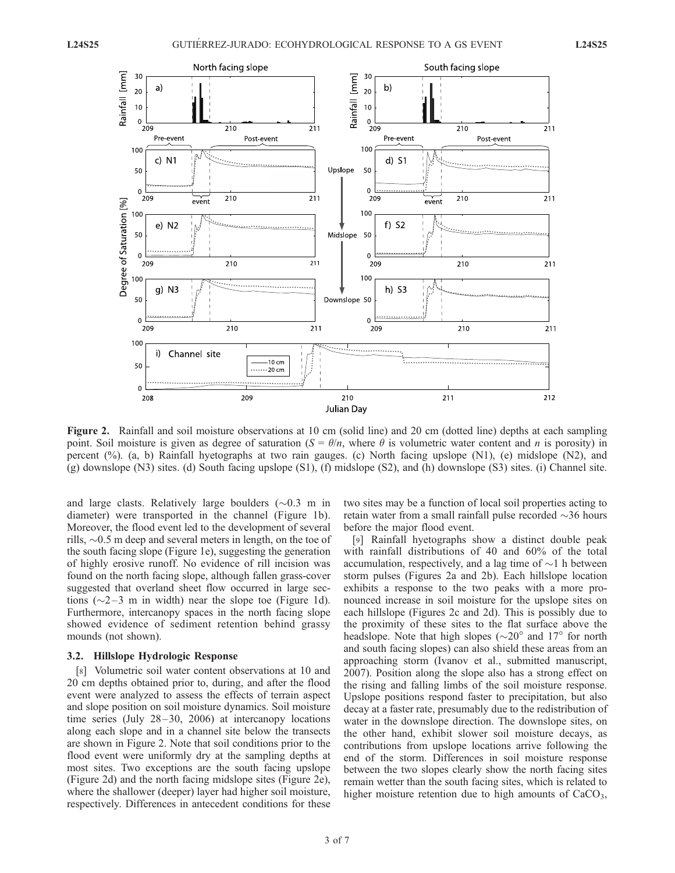

Figure 2. Rainfall and soil moisture observations at 10 cm (solid line) and 20 cm (dotted line) depths at each sampling point. Soil moisture is given as degree of saturation  $(S = \theta/n)$ , where  $\theta$  is volumetric water content and n is porosity) in percent (%). (a, b) Rainfall hyetographs at two rain gauges. (c) North facing upslope (N1), (e) midslope (N2), and (g) downslope (N3) sites. (d) South facing upslope (S1), (f) midslope (S2), and (h) downslope (S3) sites. (i) Channel site.

and large clasts. Relatively large boulders  $(\sim 0.3$  m in diameter) were transported in the channel (Figure 1b). Moreover, the flood event led to the development of several rills,  $\sim 0.5$  m deep and several meters in length, on the toe of the south facing slope (Figure 1e), suggesting the generation of highly erosive runoff. No evidence of rill incision was found on the north facing slope, although fallen grass-cover suggested that overland sheet flow occurred in large sections  $(\sim 2 - 3$  m in width) near the slope toe (Figure 1d). Furthermore, intercanopy spaces in the north facing slope showed evidence of sediment retention behind grassy mounds (not shown).

#### 3.2. Hillslope Hydrologic Response

[8] Volumetric soil water content observations at 10 and 20 cm depths obtained prior to, during, and after the flood event were analyzed to assess the effects of terrain aspect and slope position on soil moisture dynamics. Soil moisture time series (July  $28-30$ ,  $2006$ ) at intercanopy locations along each slope and in a channel site below the transects are shown in Figure 2. Note that soil conditions prior to the flood event were uniformly dry at the sampling depths at most sites. Two exceptions are the south facing upslope (Figure 2d) and the north facing midslope sites (Figure 2e), where the shallower (deeper) layer had higher soil moisture, respectively. Differences in antecedent conditions for these two sites may be a function of local soil properties acting to retain water from a small rainfall pulse recorded  $\sim$ 36 hours before the major flood event.

[9] Rainfall hyetographs show a distinct double peak with rainfall distributions of 40 and 60% of the total accumulation, respectively, and a lag time of  $\sim$ 1 h between storm pulses (Figures 2a and 2b). Each hillslope location exhibits a response to the two peaks with a more pronounced increase in soil moisture for the upslope sites on each hillslope (Figures 2c and 2d). This is possibly due to the proximity of these sites to the flat surface above the headslope. Note that high slopes ( $\sim$ 20 $\degree$  and 17 $\degree$  for north and south facing slopes) can also shield these areas from an approaching storm (Ivanov et al., submitted manuscript, 2007). Position along the slope also has a strong effect on the rising and falling limbs of the soil moisture response. Upslope positions respond faster to precipitation, but also decay at a faster rate, presumably due to the redistribution of water in the downslope direction. The downslope sites, on the other hand, exhibit slower soil moisture decays, as contributions from upslope locations arrive following the end of the storm. Differences in soil moisture response between the two slopes clearly show the north facing sites remain wetter than the south facing sites, which is related to higher moisture retention due to high amounts of  $CaCO<sub>3</sub>$ ,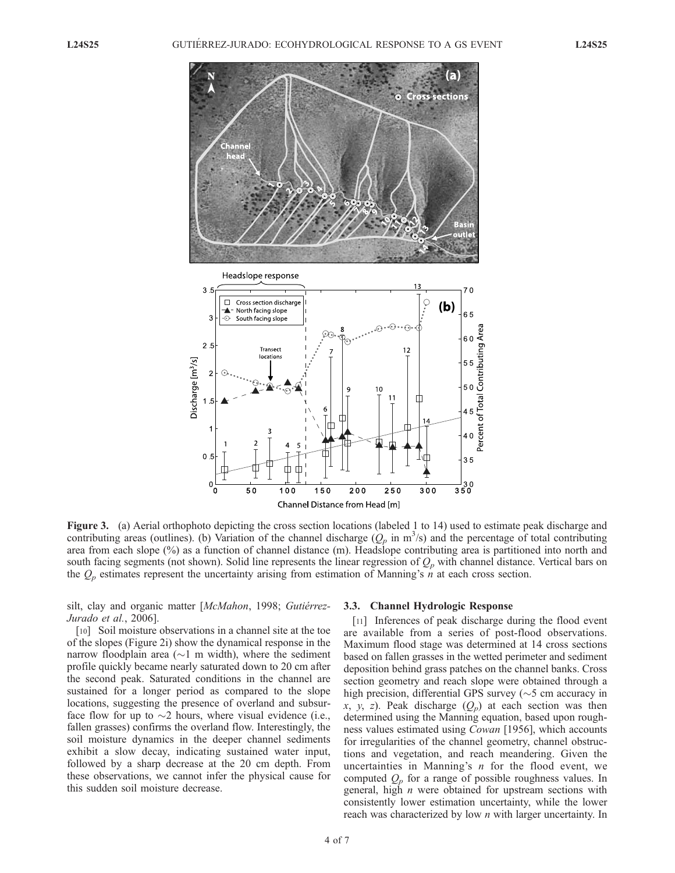

Figure 3. (a) Aerial orthophoto depicting the cross section locations (labeled 1 to 14) used to estimate peak discharge and contributing areas (outlines). (b) Variation of the channel discharge  $(Q_p \text{ in m}^3/\text{s})$  and the percentage of total contributing area from each slope (%) as a function of channel distance (m). Headslope contributing area is partitioned into north and south facing segments (not shown). Solid line represents the linear regression of  $Q_p$  with channel distance. Vertical bars on the  $Q_p$  estimates represent the uncertainty arising from estimation of Manning's n at each cross section.

silt, clay and organic matter [McMahon, 1998; Gutiérrez-Jurado et al., 2006].

[10] Soil moisture observations in a channel site at the toe of the slopes (Figure 2i) show the dynamical response in the narrow floodplain area ( $\sim$ 1 m width), where the sediment profile quickly became nearly saturated down to 20 cm after the second peak. Saturated conditions in the channel are sustained for a longer period as compared to the slope locations, suggesting the presence of overland and subsurface flow for up to  $\sim$ 2 hours, where visual evidence (i.e., fallen grasses) confirms the overland flow. Interestingly, the soil moisture dynamics in the deeper channel sediments exhibit a slow decay, indicating sustained water input, followed by a sharp decrease at the 20 cm depth. From these observations, we cannot infer the physical cause for this sudden soil moisture decrease.

#### 3.3. Channel Hydrologic Response

[11] Inferences of peak discharge during the flood event are available from a series of post-flood observations. Maximum flood stage was determined at 14 cross sections based on fallen grasses in the wetted perimeter and sediment deposition behind grass patches on the channel banks. Cross section geometry and reach slope were obtained through a high precision, differential GPS survey ( $\sim$ 5 cm accuracy in x, y, z). Peak discharge  $(Q_p)$  at each section was then determined using the Manning equation, based upon roughness values estimated using Cowan [1956], which accounts for irregularities of the channel geometry, channel obstructions and vegetation, and reach meandering. Given the uncertainties in Manning's  $n$  for the flood event, we computed  $Q_p$  for a range of possible roughness values. In general, high  $n$  were obtained for upstream sections with consistently lower estimation uncertainty, while the lower reach was characterized by low *n* with larger uncertainty. In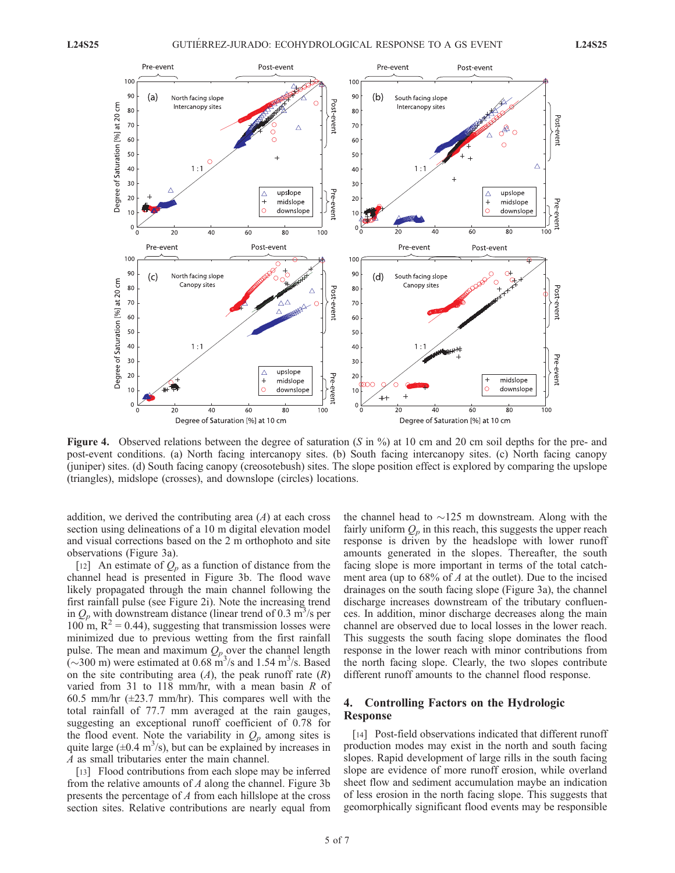

**Figure 4.** Observed relations between the degree of saturation (S in  $\%$ ) at 10 cm and 20 cm soil depths for the pre- and post-event conditions. (a) North facing intercanopy sites. (b) South facing intercanopy sites. (c) North facing canopy (juniper) sites. (d) South facing canopy (creosotebush) sites. The slope position effect is explored by comparing the upslope (triangles), midslope (crosses), and downslope (circles) locations.

addition, we derived the contributing area  $(A)$  at each cross section using delineations of a 10 m digital elevation model and visual corrections based on the 2 m orthophoto and site observations (Figure 3a).

[12] An estimate of  $Q_p$  as a function of distance from the channel head is presented in Figure 3b. The flood wave likely propagated through the main channel following the first rainfall pulse (see Figure 2i). Note the increasing trend in  $Q_p$  with downstream distance (linear trend of 0.3 m<sup>3</sup>/s per 100 m,  $R^2$  = 0.44), suggesting that transmission losses were minimized due to previous wetting from the first rainfall pulse. The mean and maximum  $Q_p$  over the channel length  $(\sim]300 \text{ m}$ ) were estimated at 0.68 m<sup>3</sup>/s and 1.54 m<sup>3</sup>/s. Based on the site contributing area  $(A)$ , the peak runoff rate  $(R)$ varied from 31 to 118 mm/hr, with a mean basin  $R$  of 60.5 mm/hr  $(\pm 23.7 \text{ mm/hr})$ . This compares well with the total rainfall of 77.7 mm averaged at the rain gauges, suggesting an exceptional runoff coefficient of 0.78 for the flood event. Note the variability in  $Q_p$  among sites is quite large  $(\pm 0.4 \text{ m}^3/\text{s})$ , but can be explained by increases in A as small tributaries enter the main channel.

[13] Flood contributions from each slope may be inferred from the relative amounts of  $A$  along the channel. Figure 3b presents the percentage of A from each hillslope at the cross section sites. Relative contributions are nearly equal from

the channel head to  $\sim$ 125 m downstream. Along with the fairly uniform  $Q_p$  in this reach, this suggests the upper reach response is driven by the headslope with lower runoff amounts generated in the slopes. Thereafter, the south facing slope is more important in terms of the total catchment area (up to  $68\%$  of A at the outlet). Due to the incised drainages on the south facing slope (Figure 3a), the channel discharge increases downstream of the tributary confluences. In addition, minor discharge decreases along the main channel are observed due to local losses in the lower reach. This suggests the south facing slope dominates the flood response in the lower reach with minor contributions from the north facing slope. Clearly, the two slopes contribute different runoff amounts to the channel flood response.

# 4. Controlling Factors on the Hydrologic Response

[14] Post-field observations indicated that different runoff production modes may exist in the north and south facing slopes. Rapid development of large rills in the south facing slope are evidence of more runoff erosion, while overland sheet flow and sediment accumulation maybe an indication of less erosion in the north facing slope. This suggests that geomorphically significant flood events may be responsible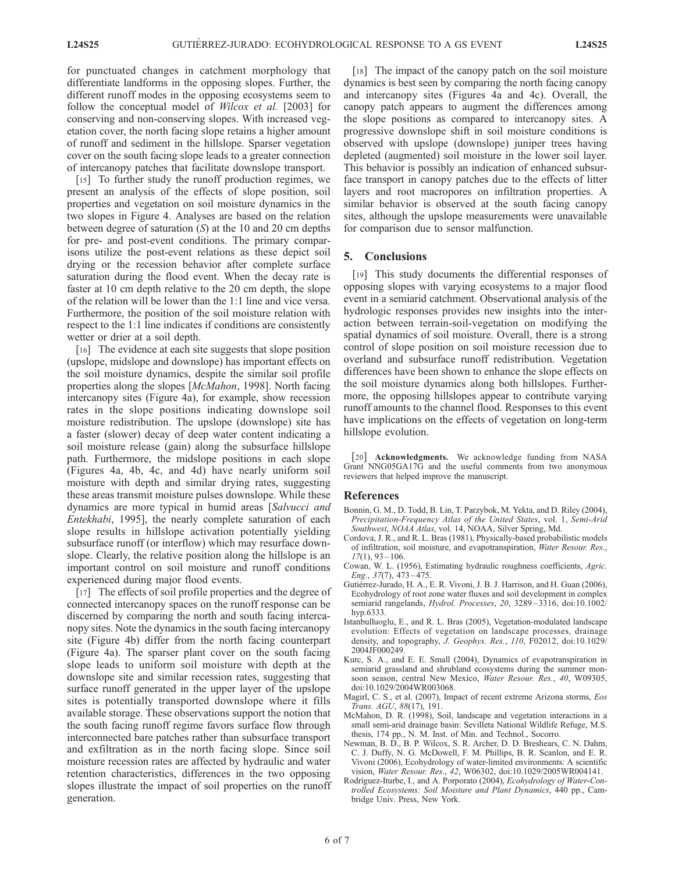for punctuated changes in catchment morphology that differentiate landforms in the opposing slopes. Further, the different runoff modes in the opposing ecosystems seem to follow the conceptual model of *Wilcox et al.* [2003] for conserving and non-conserving slopes. With increased vegetation cover, the north facing slope retains a higher amount of runoff and sediment in the hillslope. Sparser vegetation cover on the south facing slope leads to a greater connection of intercanopy patches that facilitate downslope transport.

[15] To further study the runoff production regimes, we present an analysis of the effects of slope position, soil properties and vegetation on soil moisture dynamics in the two slopes in Figure 4. Analyses are based on the relation between degree of saturation  $(S)$  at the 10 and 20 cm depths for pre- and post-event conditions. The primary comparisons utilize the post-event relations as these depict soil drying or the recession behavior after complete surface saturation during the flood event. When the decay rate is faster at 10 cm depth relative to the 20 cm depth, the slope of the relation will be lower than the 1:1 line and vice versa. Furthermore, the position of the soil moisture relation with respect to the 1:1 line indicates if conditions are consistently wetter or drier at a soil depth.

[16] The evidence at each site suggests that slope position (upslope, midslope and downslope) has important effects on the soil moisture dynamics, despite the similar soil profile properties along the slopes [McMahon, 1998]. North facing intercanopy sites (Figure 4a), for example, show recession rates in the slope positions indicating downslope soil moisture redistribution. The upslope (downslope) site has a faster (slower) decay of deep water content indicating a soil moisture release (gain) along the subsurface hillslope path. Furthermore, the midslope positions in each slope (Figures 4a, 4b, 4c, and 4d) have nearly uniform soil moisture with depth and similar drying rates, suggesting these areas transmit moisture pulses downslope. While these dynamics are more typical in humid areas [Salvucci and Entekhabi, 1995], the nearly complete saturation of each slope results in hillslope activation potentially yielding subsurface runoff (or interflow) which may resurface downslope. Clearly, the relative position along the hillslope is an important control on soil moisture and runoff conditions experienced during major flood events.

[17] The effects of soil profile properties and the degree of connected intercanopy spaces on the runoff response can be discerned by comparing the north and south facing intercanopy sites. Note the dynamics in the south facing intercanopy site (Figure 4b) differ from the north facing counterpart (Figure 4a). The sparser plant cover on the south facing slope leads to uniform soil moisture with depth at the downslope site and similar recession rates, suggesting that surface runoff generated in the upper layer of the upslope sites is potentially transported downslope where it fills available storage. These observations support the notion that the south facing runoff regime favors surface flow through interconnected bare patches rather than subsurface transport and exfiltration as in the north facing slope. Since soil moisture recession rates are affected by hydraulic and water retention characteristics, differences in the two opposing slopes illustrate the impact of soil properties on the runoff generation.

[18] The impact of the canopy patch on the soil moisture dynamics is best seen by comparing the north facing canopy and intercanopy sites (Figures 4a and 4c). Overall, the canopy patch appears to augment the differences among the slope positions as compared to intercanopy sites. A progressive downslope shift in soil moisture conditions is observed with upslope (downslope) juniper trees having depleted (augmented) soil moisture in the lower soil layer. This behavior is possibly an indication of enhanced subsurface transport in canopy patches due to the effects of litter layers and root macropores on infiltration properties. A similar behavior is observed at the south facing canopy sites, although the upslope measurements were unavailable for comparison due to sensor malfunction.

### 5. Conclusions

[19] This study documents the differential responses of opposing slopes with varying ecosystems to a major flood event in a semiarid catchment. Observational analysis of the hydrologic responses provides new insights into the interaction between terrain-soil-vegetation on modifying the spatial dynamics of soil moisture. Overall, there is a strong control of slope position on soil moisture recession due to overland and subsurface runoff redistribution. Vegetation differences have been shown to enhance the slope effects on the soil moisture dynamics along both hillslopes. Furthermore, the opposing hillslopes appear to contribute varying runoff amounts to the channel flood. Responses to this event have implications on the effects of vegetation on long-term hillslope evolution.

[20] Acknowledgments. We acknowledge funding from NASA Grant NNG05GA17G and the useful comments from two anonymous reviewers that helped improve the manuscript.

#### References

- Bonnin, G. M., D. Todd, B. Lin, T. Parzybok, M. Yekta, and D. Riley (2004), Precipitation-Frequency Atlas of the United States, vol. 1, Semi-Arid Southwest, NOAA Atlas, vol. 14, NOAA, Silver Spring, Md.
- Cordova, J. R., and R. L. Bras (1981), Physically-based probabilistic models of infiltration, soil moisture, and evapotranspiration, Water Resour. Res.,  $17(1)$ , 93 – 106.
- Cowan, W. L. (1956), Estimating hydraulic roughness coefficients, Agric. Eng., 37(7), 473 – 475.
- Gutiérrez-Jurado, H. A., E. R. Vivoni, J. B. J. Harrison, and H. Guan (2006), Ecohydrology of root zone water fluxes and soil development in complex semiarid rangelands, Hydrol. Processes, 20, 3289-3316, doi:10.1002/ hyp.6333.
- Istanbulluoglu, E., and R. L. Bras (2005), Vegetation-modulated landscape evolution: Effects of vegetation on landscape processes, drainage density, and topography, J. Geophys. Res., 110, F02012, doi:10.1029/ 2004JF000249.
- Kurc, S. A., and E. E. Small (2004), Dynamics of evapotranspiration in semiarid grassland and shrubland ecosystems during the summer monsoon season, central New Mexico, Water Resour. Res., 40, W09305, doi:10.1029/2004WR003068.
- Magirl, C. S., et al. (2007), Impact of recent extreme Arizona storms, Eos Trans. AGU, 88(17), 191.
- McMahon, D. R. (1998), Soil, landscape and vegetation interactions in a small semi-arid drainage basin: Sevilleta National Wildlife Refuge, M.S. thesis, 174 pp., N. M. Inst. of Min. and Technol., Socorro.
- Newman, B. D., B. P. Wilcox, S. R. Archer, D. D. Breshears, C. N. Dahm, C. J. Duffy, N. G. McDowell, F. M. Phillips, B. R. Scanlon, and E. R. Vivoni (2006), Ecohydrology of water-limited environments: A scientific vision, Water Resour. Res., 42, W06302, doi:10.1029/2005WR004141.
- Rodríguez-Iturbe, I., and A. Porporato (2004), Ecohydrology of Water-Controlled Ecosystems: Soil Moisture and Plant Dynamics, 440 pp., Cambridge Univ. Press, New York.